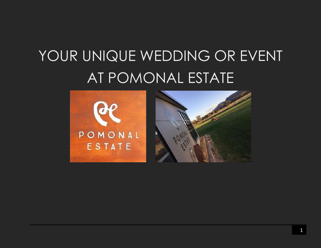# YOUR UNIQUE WEDDING OR EVENT AT POMONAL ESTATE

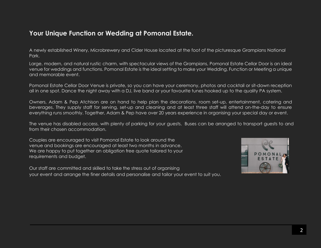## **Your Unique Function or Wedding at Pomonal Estate.**

A newly established Winery, Microbrewery and Cider House located at the foot of the picturesque Grampians National Park.

Large, modern, and natural rustic charm, with spectacular views of the Grampians, Pomonal Estate Cellar Door is an ideal venue for weddings and functions. Pomonal Estate is the ideal setting to make your Wedding, Function or Meeting a unique and memorable event.

Pomonal Estate Cellar Door Venue is private, so you can have your ceremony, photos and cocktail or sit-down reception all in one spot. Dance the night away with a DJ, live band or your favourite tunes hooked up to the quality PA system.

Owners, Adam & Pep Atchison are on hand to help plan the decorations, room set-up, entertainment, catering and beverages. They supply staff for serving, set-up and cleaning and at least three staff will attend on-the-day to ensure everything runs smoothly. Together, Adam & Pep have over 20 years experience in organising your special day or event.

The venue has disabled access, with plenty of parking for your guests. Buses can be arranged to transport guests to and from their chosen accommodation.

Couples are encouraged to visit Pomonal Estate to look around the venue and bookings are encouraged at least two months in advance. We are happy to put together an obligation free quote tailored to your requirements and budget.

Our staff are committed and skilled to take the stress out of organising your event and arrange the finer details and personalise and tailor your event to suit you.

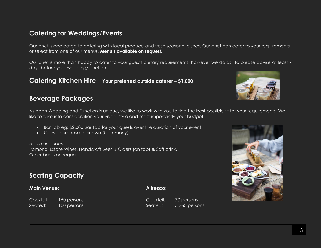## **Catering for Weddings/Events**

Our chef is dedicated to catering with local produce and fresh seasonal dishes. Our chef can cater to your requirements or select from one of our menus. **Menu's available on request.** 

Our chef is more than happy to cater to your guests dietary requirements, however we do ask to please advise at least 7 days before your wedding/function.

#### **Catering Kitchen Hire - Your preferred outside caterer – \$1,000**

### **Beverage Packages**

As each Wedding and Function is unique, we like to work with you to find the best possible fit for your requirements. We like to take into consideration your vision, style and most importantly your budget.

- Bar Tab eg: \$2,000 Bar Tab for your guests over the duration of your event.
- Guests purchase their own (Ceremony)

*Above includes:* Pomonal Estate Wines, Handcraft Beer & Ciders (on tap) & Soft drink. Other beers on request.

## **Seating Capacity**

#### **Main Venue**: **Alfresco**:

Cocktail: 150 persons Cocktail: 70 persons Seated: 100 persons Seated: 50-60 persons



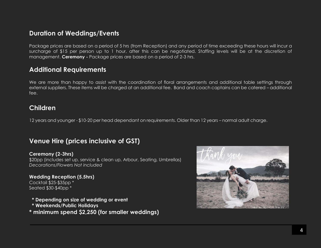## **Duration of Weddings/Events**

Package prices are based on a period of 5 hrs (from Reception) and any period of time exceeding these hours will incur a surcharge of \$15 per person up to 1 hour, after this can be negotiated. Staffing levels will be at the discretion of management. **Ceremony -** Package prices are based on a period of 2-3 hrs.

## **Additional Requirements**

We are more than happy to assist with the coordination of floral arrangements and additional table settings through external suppliers. These items will be charged at an additional fee. Band and coach captains can be catered – additional fee.

## **Children**

12 years and younger - \$10-20 per head dependant on requirements. Older than 12 years – normal adult charge.

# **Venue Hire (prices inclusive of GST)**

#### **Ceremony (2-3hrs)**

\$20pp (includes set up, service & clean up, Arbour, Seating, Umbrellas) *Decorations/Flowers Not included*

#### **Wedding Reception (5.5hrs)** Cocktail \$25-\$35pp \*

Seated \$30-\$40pp \*

- **\* Depending on size of wedding or event**
- **\* Weekends/Public Holidays**
- **\* minimum spend \$2,250 (for smaller weddings)**

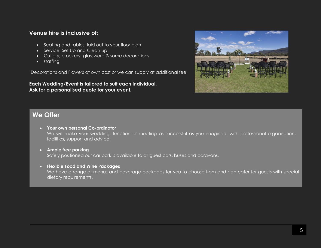#### **Venue hire is inclusive of:**

- Seating and tables, laid out to your floor plan
- Service, Set Up and Clean up
- Cutlery, crockery, glassware & some decorations
- staffing

'Decorations and Flowers at own cost or we can supply at additional fee.

**Each Wedding/Event is tailored to suit each individual. Ask for a personalised quote for your event.**



## **We Offer**

- **Your own personal Co-ordinator** We will make your wedding, function or meeting as successful as you imagined, with professional organisation, facilities, support and advice.
- **Ample free parking** Safely positioned our car park is available to all guest cars, buses and caravans.
- **Flexible Food and Wine Packages** We have a range of menus and beverage packages for you to choose from and can cater for guests with special dietary requirements.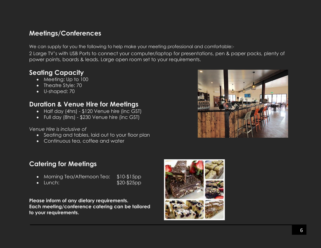# **Meetings/Conferences**

We can supply for you the following to help make your meeting professional and comfortable:-

2 Large TV's with USB Ports to connect your computer/laptop for presentations, pen & paper packs, plenty of power points, boards & leads. Large open room set to your requirements.

# **Seating Capacity**

- Meeting: Up to 100
- Theatre Style: 70
- U-shaped: 70

# **Duration & Venue Hire for Meetings**

- Half day (4hrs) \$120 Venue hire (inc GST)
- Full day (8hrs) \$230 Venue hire (inc GST)

*Venue Hire is inclusive of*

- Seating and tables, laid out to your floor plan
- Continuous tea, coffee and water

# **Catering for Meetings**

- Morning Tea/Afternoon Tea: \$10-\$15pp
- 
- Lunch: \$20-\$25pp

**Please inform of any dietary requirements. Each meeting/conference catering can be tailored to your requirements.**



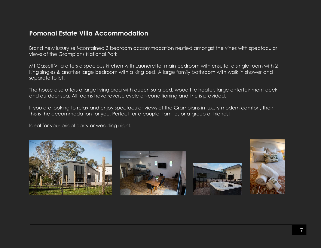## **Pomonal Estate Villa Accommodation**

Brand new luxury self-contained 3 bedroom accommodation nestled amongst the vines with spectacular views of the Grampians National Park.

Mt Cassell Villa offers a spacious kitchen with Laundrette, main bedroom with ensuite, a single room with 2 king singles & another large bedroom with a king bed. A large family bathroom with walk in shower and separate toilet.

The house also offers a large living area with queen sofa bed, wood fire heater, large entertainment deck and outdoor spa. All rooms have reverse cycle air-conditioning and line is provided.

If you are looking to relax and enjoy spectacular views of the Grampians in luxury modern comfort, then this is the accommodation for you. Perfect for a couple, families or a group of friends!

Ideal for your bridal party or wedding night.







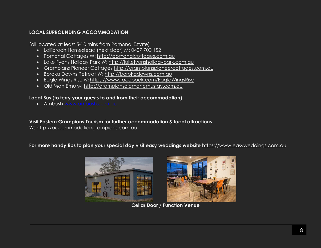#### **LOCAL SURROUNDING ACCOMMODATION**

(all located at least 5-10 mins from Pomonal Estate)

- Lallibroch Homestead (next door) M: 0407 700 152
- Pomonal Cottages W: [http://pomonalcottages.com.au](http://pomonalcottages.com.au/)
- Lake Fyans Holiday Park W: [http://lakefyansholidaypark.com.au](http://lakefyansholidaypark.com.au/)
- Grampians Pioneer Cottages [http://grampianspioneercottages.com.au](http://grampianspioneercottages.com.au/)
- Boroka Downs Retreat W: [http://borokadowns.com.au](http://borokadowns.com.au/)
- Eagle Wings Rise W: <https://www.facebook.com/EagleWingsRise>
- Old Man Emu w: [http://grampiansoldmanemustay.com.au](http://grampiansoldmanemustay.com.au/)

#### **Local Bus (to ferry your guests to and from their accommodation)**

• Ambush [www.ambush.com.au](http://www.ambush.com.au/)

**Visit Eastern Grampians Tourism for further accommodation & local attractions**  W: [http://accommodationgrampians.com.au](http://accommodationgrampians.com.au/)

**For more handy tips to plan your special day visit easy weddings website** [https://www.easyweddings.com.au](https://www.easyweddings.com.au/)



**Cellar Door / Function Venue**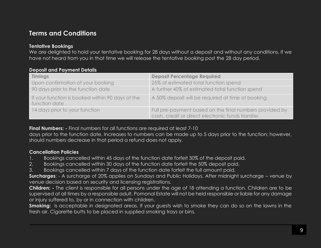# **Terms and Conditions**

#### **Tentative Bookings**

We are delighted to hold your tentative booking for 28 days without a deposit and without any conditions. If we have not heard from you in that time we will release the tentative booking post the 28 day period.

| Deposit and I ayment Delaits                                      |                                                                                                              |
|-------------------------------------------------------------------|--------------------------------------------------------------------------------------------------------------|
| <b>Timings</b>                                                    | <b>Deposit Percentage Required</b>                                                                           |
| Upon confirmation of your booking                                 | 25% of estimated total function spend                                                                        |
| 90 days prior to the function date                                | A further 40% of estimated total function spend                                                              |
| If your function is booked within 90 days of the<br>function date | A 50% deposit will be required at time of booking                                                            |
| 14 days prior to your function                                    | Full pre-payment based on the final numbers provided by<br>cash, credit or direct electronic funds transfer. |

#### **Deposit and Payment Details**

**Final Numbers:** - Final numbers for all functions are required at least 7-10

days prior to the function date. Increases to numbers can be made up to 5 days prior to the function; however, should numbers decrease in that period a refund does not apply.

#### **Cancellation Policies**

- 1. Bookings cancelled within 45 days of the function date forfeit 30% of the deposit paid.
- 2. Bookings cancelled within 30 days of the function date forfeit the 50% deposit paid.
- 3. Bookings cancelled within 7 days of the function date forfeit the full amount paid.

**Surcharges**: - A surcharge of 20% applies on Sundays and Public Holidays. After midnight surcharge – venue by venue decision based on security and licensing registrations.

**Children: -** The client is responsible for all persons under the age of 18 attending a function. Children are to be supervised at all times by a responsible adult. Pomonal Estate will not be held responsible or liable for any damage or injury suffered to, by or in connection with children.

**Smoking:** Is acceptable in designated areas. If your quests wish to smoke they can do so on the lawns in the fresh air. Cigarette butts to be placed in supplied smoking trays or bins.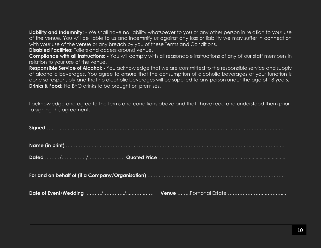**Liability and Indemnity**: - We shall have no liability whatsoever to you or any other person in relation to your use of the venue. You will be liable to us and indemnify us against any loss or liability we may suffer in connection with your use of the venue or any breach by you of these Terms and Conditions.

**Disabled Facilities:** Toilets and access around venue.

**Compliance with all instructions: -** You will comply with all reasonable instructions of any of our staff members in relation to your use of the venue.

**Responsible Service of Alcohol: -** You acknowledge that we are committed to the responsible service and supply of alcoholic beverages. You agree to ensure that the consumption of alcoholic beverages at your function is done so responsibly and that no alcoholic beverages will be supplied to any person under the age of 18 years. **Drinks & Food:** No BYO drinks to be brought on premises.

I acknowledge and agree to the terms and conditions above and that I have read and understood them prior to signing this agreement.